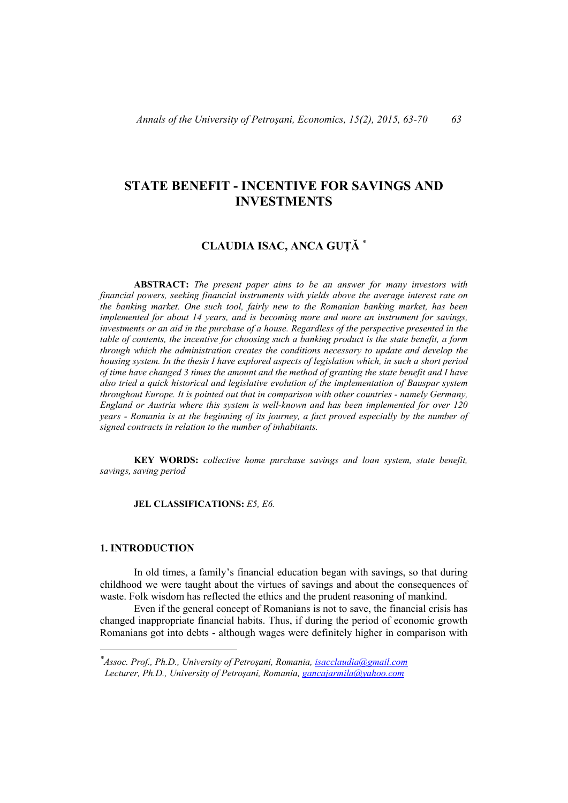# **STATE BENEFIT - INCENTIVE FOR SAVINGS AND INVESTMENTS**

## **CLAUDIA ISAC, ANCA GUȚĂ** \*

 **ABSTRACT:** *The present paper aims to be an answer for many investors with financial powers, seeking financial instruments with yields above the average interest rate on the banking market. One such tool, fairly new to the Romanian banking market, has been implemented for about 14 years, and is becoming more and more an instrument for savings, investments or an aid in the purchase of a house. Regardless of the perspective presented in the table of contents, the incentive for choosing such a banking product is the state benefit, a form through which the administration creates the conditions necessary to update and develop the housing system. In the thesis I have explored aspects of legislation which, in such a short period of time have changed 3 times the amount and the method of granting the state benefit and I have also tried a quick historical and legislative evolution of the implementation of Bauspar system throughout Europe. It is pointed out that in comparison with other countries - namely Germany, England or Austria where this system is well-known and has been implemented for over 120 years - Romania is at the beginning of its journey, a fact proved especially by the number of signed contracts in relation to the number of inhabitants.* 

 **KEY WORDS:** *collective home purchase savings and loan system, state benefit, savings, saving period* 

 **JEL CLASSIFICATIONS:** *E5, E6.* 

## **1. INTRODUCTION**

 $\overline{a}$ 

In old times, a family's financial education began with savings, so that during childhood we were taught about the virtues of savings and about the consequences of waste. Folk wisdom has reflected the ethics and the prudent reasoning of mankind.

Even if the general concept of Romanians is not to save, the financial crisis has changed inappropriate financial habits. Thus, if during the period of economic growth Romanians got into debts - although wages were definitely higher in comparison with

*<sup>\*</sup>Assoc. Prof., Ph.D., University of Petroşani, Romania, isacclaudia@gmail.com Lecturer, Ph.D., University of Petroşani, Romania, gancajarmila@yahoo.com*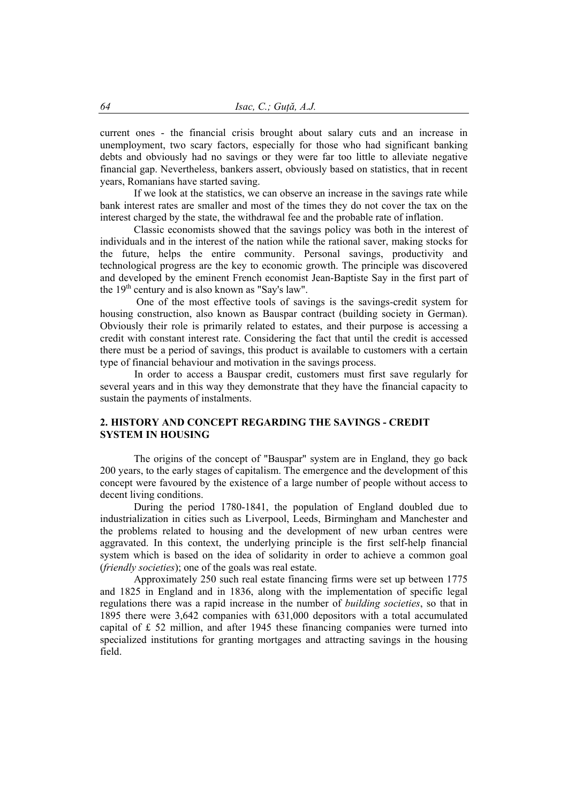current ones - the financial crisis brought about salary cuts and an increase in unemployment, two scary factors, especially for those who had significant banking debts and obviously had no savings or they were far too little to alleviate negative financial gap. Nevertheless, bankers assert, obviously based on statistics, that in recent years, Romanians have started saving.

If we look at the statistics, we can observe an increase in the savings rate while bank interest rates are smaller and most of the times they do not cover the tax on the interest charged by the state, the withdrawal fee and the probable rate of inflation.

Classic economists showed that the savings policy was both in the interest of individuals and in the interest of the nation while the rational saver, making stocks for the future, helps the entire community. Personal savings, productivity and technological progress are the key to economic growth. The principle was discovered and developed by the eminent French economist Jean-Baptiste Say in the first part of the  $19<sup>th</sup>$  century and is also known as "Say's law".

 One of the most effective tools of savings is the savings-credit system for housing construction, also known as Bauspar contract (building society in German). Obviously their role is primarily related to estates, and their purpose is accessing a credit with constant interest rate. Considering the fact that until the credit is accessed there must be a period of savings, this product is available to customers with a certain type of financial behaviour and motivation in the savings process.

In order to access a Bauspar credit, customers must first save regularly for several years and in this way they demonstrate that they have the financial capacity to sustain the payments of instalments.

## **2.****HISTORY AND CONCEPT REGARDING THE SAVINGS - CREDIT SYSTEM IN HOUSING**

The origins of the concept of "Bauspar" system are in England, they go back 200 years, to the early stages of capitalism. The emergence and the development of this concept were favoured by the existence of a large number of people without access to decent living conditions.

During the period 1780-1841, the population of England doubled due to industrialization in cities such as Liverpool, Leeds, Birmingham and Manchester and the problems related to housing and the development of new urban centres were aggravated. In this context, the underlying principle is the first self-help financial system which is based on the idea of solidarity in order to achieve a common goal (*friendly societies*); one of the goals was real estate.

Approximately 250 such real estate financing firms were set up between 1775 and 1825 in England and in 1836, along with the implementation of specific legal regulations there was a rapid increase in the number of *building societies*, so that in 1895 there were 3,642 companies with 631,000 depositors with a total accumulated capital of £ 52 million, and after 1945 these financing companies were turned into specialized institutions for granting mortgages and attracting savings in the housing field.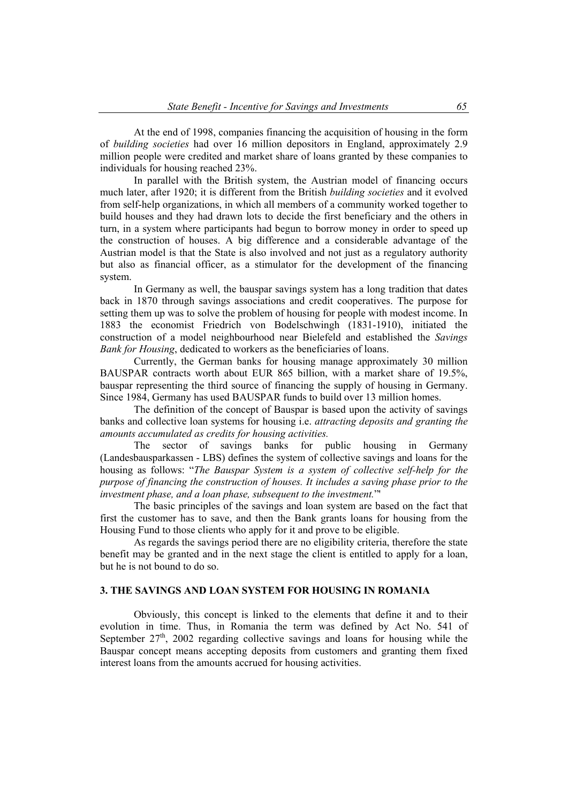At the end of 1998, companies financing the acquisition of housing in the form of *building societies* had over 16 million depositors in England, approximately 2.9 million people were credited and market share of loans granted by these companies to individuals for housing reached 23%.

In parallel with the British system, the Austrian model of financing occurs much later, after 1920; it is different from the British *building societies* and it evolved from self-help organizations, in which all members of a community worked together to build houses and they had drawn lots to decide the first beneficiary and the others in turn, in a system where participants had begun to borrow money in order to speed up the construction of houses. A big difference and a considerable advantage of the Austrian model is that the State is also involved and not just as a regulatory authority but also as financial officer, as a stimulator for the development of the financing system.

In Germany as well, the bauspar savings system has a long tradition that dates back in 1870 through savings associations and credit cooperatives. The purpose for setting them up was to solve the problem of housing for people with modest income. In 1883 the economist Friedrich von Bodelschwingh (1831-1910), initiated the construction of a model neighbourhood near Bielefeld and established the *Savings Bank for Housing*, dedicated to workers as the beneficiaries of loans.

Currently, the German banks for housing manage approximately 30 million BAUSPAR contracts worth about EUR 865 billion, with a market share of 19.5%, bauspar representing the third source of financing the supply of housing in Germany. Since 1984, Germany has used BAUSPAR funds to build over 13 million homes.

The definition of the concept of Bauspar is based upon the activity of savings banks and collective loan systems for housing i.e. *attracting deposits and granting the amounts accumulated as credits for housing activities.* 

 The sector of savings banks for public housing in Germany (Landesbausparkassen - LBS) defines the system of collective savings and loans for the housing as follows: "*The Bauspar System is a system of collective self-help for the purpose of financing the construction of houses. It includes a saving phase prior to the investment phase, and a loan phase, subsequent to the investment.*"'

 The basic principles of the savings and loan system are based on the fact that first the customer has to save, and then the Bank grants loans for housing from the Housing Fund to those clients who apply for it and prove to be eligible.

 As regards the savings period there are no eligibility criteria, therefore the state benefit may be granted and in the next stage the client is entitled to apply for a loan, but he is not bound to do so.

## **3. THE SAVINGS AND LOAN SYSTEM FOR HOUSING IN ROMANIA**

Obviously, this concept is linked to the elements that define it and to their evolution in time. Thus, in Romania the term was defined by Act No. 541 of September  $27<sup>th</sup>$ , 2002 regarding collective savings and loans for housing while the Bauspar concept means accepting deposits from customers and granting them fixed interest loans from the amounts accrued for housing activities.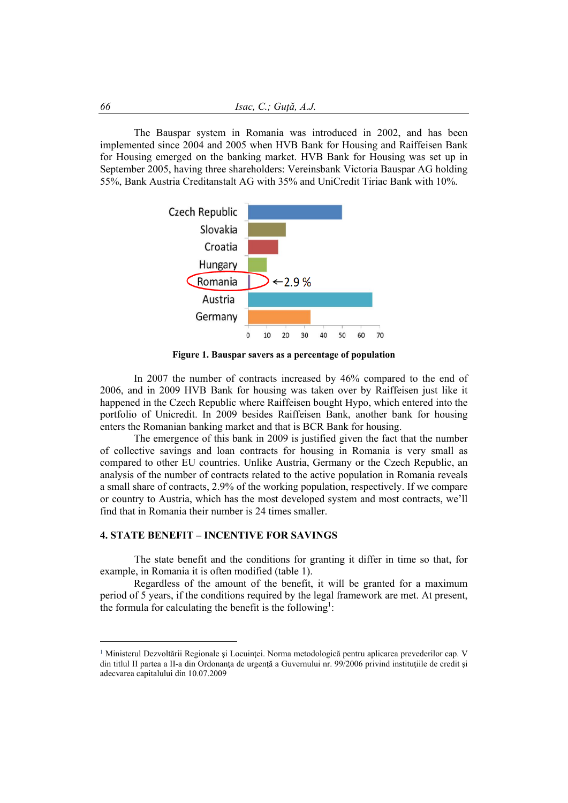The Bauspar system in Romania was introduced in 2002, and has been implemented since 2004 and 2005 when HVB Bank for Housing and Raiffeisen Bank for Housing emerged on the banking market. HVB Bank for Housing was set up in September 2005, having three shareholders: Vereinsbank Victoria Bauspar AG holding 55%, Bank Austria Creditanstalt AG with 35% and UniCredit Tiriac Bank with 10%.



**Figure 1. Bauspar savers as a percentage of population** 

In 2007 the number of contracts increased by 46% compared to the end of 2006, and in 2009 HVB Bank for housing was taken over by Raiffeisen just like it happened in the Czech Republic where Raiffeisen bought Hypo, which entered into the portfolio of Unicredit. In 2009 besides Raiffeisen Bank, another bank for housing enters the Romanian banking market and that is BCR Bank for housing.

The emergence of this bank in 2009 is justified given the fact that the number of collective savings and loan contracts for housing in Romania is very small as compared to other EU countries. Unlike Austria, Germany or the Czech Republic, an analysis of the number of contracts related to the active population in Romania reveals a small share of contracts, 2.9% of the working population, respectively. If we compare or country to Austria, which has the most developed system and most contracts, we'll find that in Romania their number is 24 times smaller.

## **4. STATE BENEFIT – INCENTIVE FOR SAVINGS**

The state benefit and the conditions for granting it differ in time so that, for example, in Romania it is often modified (table 1).

Regardless of the amount of the benefit, it will be granted for a maximum period of 5 years, if the conditions required by the legal framework are met. At present, the formula for calculating the benefit is the following<sup>1</sup>:

 $\overline{a}$ 

 $1$  Ministerul Dezvoltării Regionale și Locuinței. Norma metodologică pentru aplicarea prevederilor cap. V din titlul II partea a II-a din Ordonanta de urgență a Guvernului nr. 99/2006 privind instituțiile de credit și adecvarea capitalului din 10.07.2009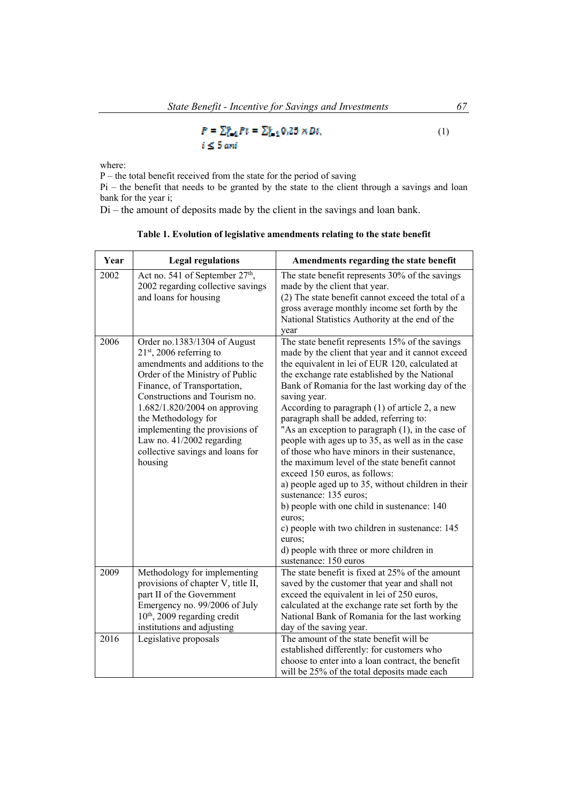$$
P = \sum_{i=1}^{n} P_i = \sum_{i=1}^{n} 0.25 \times D_i,
$$
  
 $i \leq 5$  *ani* (1)

where:

P – the total benefit received from the state for the period of saving

Pi – the benefit that needs to be granted by the state to the client through a savings and loan bank for the year i;

Di – the amount of deposits made by the client in the savings and loan bank.

| Year | <b>Legal regulations</b>                                                                                                                                                                                                                                                                                                                                               | Amendments regarding the state benefit                                                                                                                                                                                                                                                                                                                                                                                                                                                                                                                                                                                                                                                                                                                                                                                                                                                            |
|------|------------------------------------------------------------------------------------------------------------------------------------------------------------------------------------------------------------------------------------------------------------------------------------------------------------------------------------------------------------------------|---------------------------------------------------------------------------------------------------------------------------------------------------------------------------------------------------------------------------------------------------------------------------------------------------------------------------------------------------------------------------------------------------------------------------------------------------------------------------------------------------------------------------------------------------------------------------------------------------------------------------------------------------------------------------------------------------------------------------------------------------------------------------------------------------------------------------------------------------------------------------------------------------|
| 2002 | Act no. 541 of September 27 <sup>th</sup> ,<br>2002 regarding collective savings<br>and loans for housing                                                                                                                                                                                                                                                              | The state benefit represents 30% of the savings<br>made by the client that year.<br>(2) The state benefit cannot exceed the total of a<br>gross average monthly income set forth by the<br>National Statistics Authority at the end of the<br>year                                                                                                                                                                                                                                                                                                                                                                                                                                                                                                                                                                                                                                                |
| 2006 | Order no.1383/1304 of August<br>$21st$ , 2006 referring to<br>amendments and additions to the<br>Order of the Ministry of Public<br>Finance, of Transportation,<br>Constructions and Tourism no.<br>1.682/1.820/2004 on approving<br>the Methodology for<br>implementing the provisions of<br>Law no. 41/2002 regarding<br>collective savings and loans for<br>housing | The state benefit represents 15% of the savings<br>made by the client that year and it cannot exceed<br>the equivalent in lei of EUR 120, calculated at<br>the exchange rate established by the National<br>Bank of Romania for the last working day of the<br>saving year.<br>According to paragraph $(1)$ of article 2, a new<br>paragraph shall be added, referring to:<br>"As an exception to paragraph (1), in the case of<br>people with ages up to 35, as well as in the case<br>of those who have minors in their sustenance,<br>the maximum level of the state benefit cannot<br>exceed 150 euros, as follows:<br>a) people aged up to 35, without children in their<br>sustenance: 135 euros;<br>b) people with one child in sustenance: 140<br>euros;<br>c) people with two children in sustenance: 145<br>euros;<br>d) people with three or more children in<br>sustenance: 150 euros |
| 2009 | Methodology for implementing<br>provisions of chapter V, title II,<br>part II of the Government<br>Emergency no. 99/2006 of July<br>$10th$ , 2009 regarding credit<br>institutions and adjusting                                                                                                                                                                       | The state benefit is fixed at 25% of the amount<br>saved by the customer that year and shall not<br>exceed the equivalent in lei of 250 euros,<br>calculated at the exchange rate set forth by the<br>National Bank of Romania for the last working<br>day of the saving year.                                                                                                                                                                                                                                                                                                                                                                                                                                                                                                                                                                                                                    |
| 2016 | Legislative proposals                                                                                                                                                                                                                                                                                                                                                  | The amount of the state benefit will be<br>established differently: for customers who<br>choose to enter into a loan contract, the benefit<br>will be 25% of the total deposits made each                                                                                                                                                                                                                                                                                                                                                                                                                                                                                                                                                                                                                                                                                                         |

**Table 1. Evolution of legislative amendments relating to the state benefit**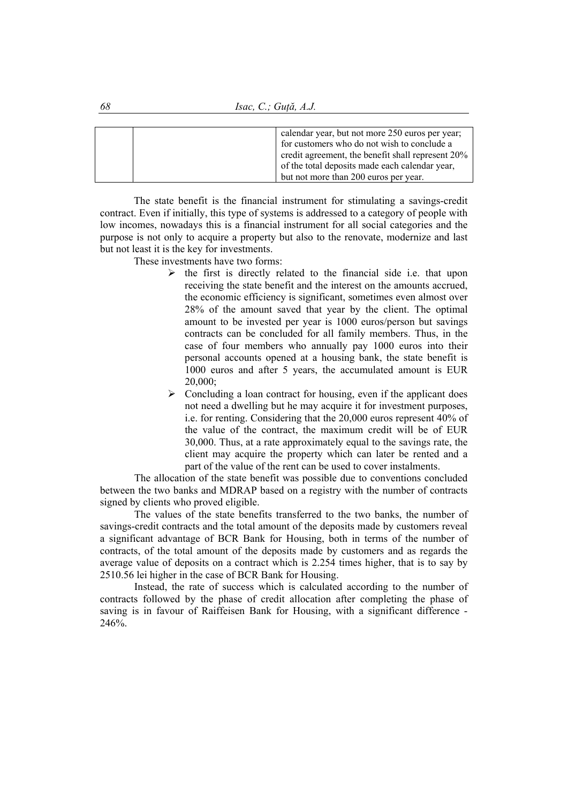*68 Isac, C.; Guță, A.J.* 

| calendar year, but not more 250 euros per year;   |
|---------------------------------------------------|
| for customers who do not wish to conclude a       |
| credit agreement, the benefit shall represent 20% |
| of the total deposits made each calendar year,    |
| but not more than 200 euros per year.             |

The state benefit is the financial instrument for stimulating a savings-credit contract. Even if initially, this type of systems is addressed to a category of people with low incomes, nowadays this is a financial instrument for all social categories and the purpose is not only to acquire a property but also to the renovate, modernize and last but not least it is the key for investments.

These investments have two forms:

- $\triangleright$  the first is directly related to the financial side i.e. that upon receiving the state benefit and the interest on the amounts accrued, the economic efficiency is significant, sometimes even almost over 28% of the amount saved that year by the client. The optimal amount to be invested per year is 1000 euros/person but savings contracts can be concluded for all family members. Thus, in the case of four members who annually pay 1000 euros into their personal accounts opened at a housing bank, the state benefit is 1000 euros and after 5 years, the accumulated amount is EUR 20,000;
- $\triangleright$  Concluding a loan contract for housing, even if the applicant does not need a dwelling but he may acquire it for investment purposes, i.e. for renting. Considering that the 20,000 euros represent 40% of the value of the contract, the maximum credit will be of EUR 30,000. Thus, at a rate approximately equal to the savings rate, the client may acquire the property which can later be rented and a part of the value of the rent can be used to cover instalments.

The allocation of the state benefit was possible due to conventions concluded between the two banks and MDRAP based on a registry with the number of contracts signed by clients who proved eligible.

The values of the state benefits transferred to the two banks, the number of savings-credit contracts and the total amount of the deposits made by customers reveal a significant advantage of BCR Bank for Housing, both in terms of the number of contracts, of the total amount of the deposits made by customers and as regards the average value of deposits on a contract which is 2.254 times higher, that is to say by 2510.56 lei higher in the case of BCR Bank for Housing.

Instead, the rate of success which is calculated according to the number of contracts followed by the phase of credit allocation after completing the phase of saving is in favour of Raiffeisen Bank for Housing, with a significant difference - 246%.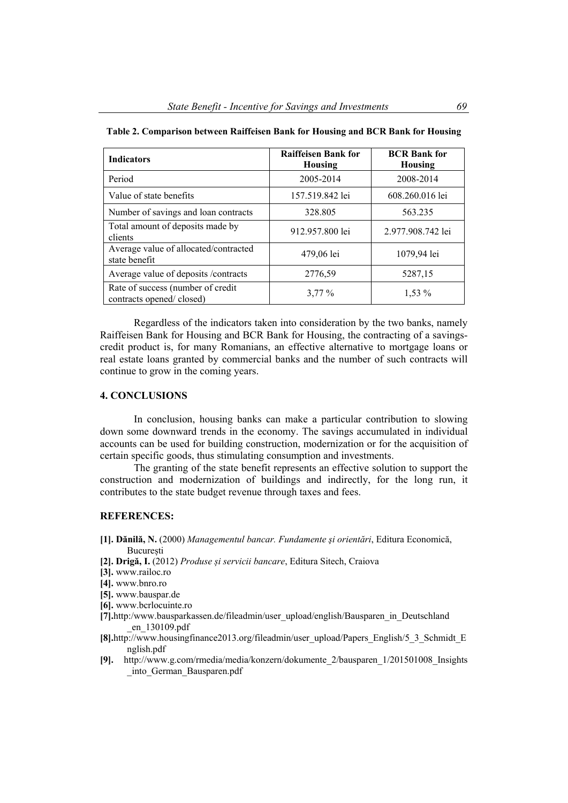| <b>Indicators</b>                                             | <b>Raiffeisen Bank for</b><br><b>Housing</b> | <b>BCR</b> Bank for<br><b>Housing</b> |
|---------------------------------------------------------------|----------------------------------------------|---------------------------------------|
| Period                                                        | 2005-2014                                    | 2008-2014                             |
| Value of state benefits                                       | 157.519.842 lei                              | 608.260.016 lei                       |
| Number of savings and loan contracts                          | 328.805                                      | 563.235                               |
| Total amount of deposits made by<br>clients                   | 912.957.800 lei                              | 2.977.908.742 lei                     |
| Average value of allocated/contracted<br>state benefit        | 479,06 lei                                   | 1079,94 lei                           |
| Average value of deposits /contracts                          | 2776,59                                      | 5287,15                               |
| Rate of success (number of credit<br>contracts opened/closed) | $3,77\%$                                     | $1,53\%$                              |

| Table 2. Comparison between Raiffeisen Bank for Housing and BCR Bank for Housing |  |  |
|----------------------------------------------------------------------------------|--|--|
|----------------------------------------------------------------------------------|--|--|

Regardless of the indicators taken into consideration by the two banks, namely Raiffeisen Bank for Housing and BCR Bank for Housing, the contracting of a savingscredit product is, for many Romanians, an effective alternative to mortgage loans or real estate loans granted by commercial banks and the number of such contracts will continue to grow in the coming years.

#### **4. CONCLUSIONS**

In conclusion, housing banks can make a particular contribution to slowing down some downward trends in the economy. The savings accumulated in individual accounts can be used for building construction, modernization or for the acquisition of certain specific goods, thus stimulating consumption and investments.

The granting of the state benefit represents an effective solution to support the construction and modernization of buildings and indirectly, for the long run, it contributes to the state budget revenue through taxes and fees.

## **REFERENCES:**

- **[1]. Dănilă, N.** (2000) *Managementul bancar. Fundamente şi orientări*, Editura Economică, **București**
- **[2]. Drigă, I.** (2012) *Produse și servicii bancare*, Editura Sitech, Craiova
- **[3].** www.railoc.ro
- **[4].** www.bnro.ro
- **[5].** www.bauspar.de
- **[6].** www.bcrlocuinte.ro
- **[7].**http:/www.bausparkassen.de/fileadmin/user\_upload/english/Bausparen\_in\_Deutschland \_en\_130109.pdf
- **[8].**http://www.housingfinance2013.org/fileadmin/user\_upload/Papers\_English/5\_3\_Schmidt\_E nglish.pdf
- **[9].** http://www.g.com/rmedia/media/konzern/dokumente\_2/bausparen\_1/201501008\_Insights \_into\_German\_Bausparen.pdf